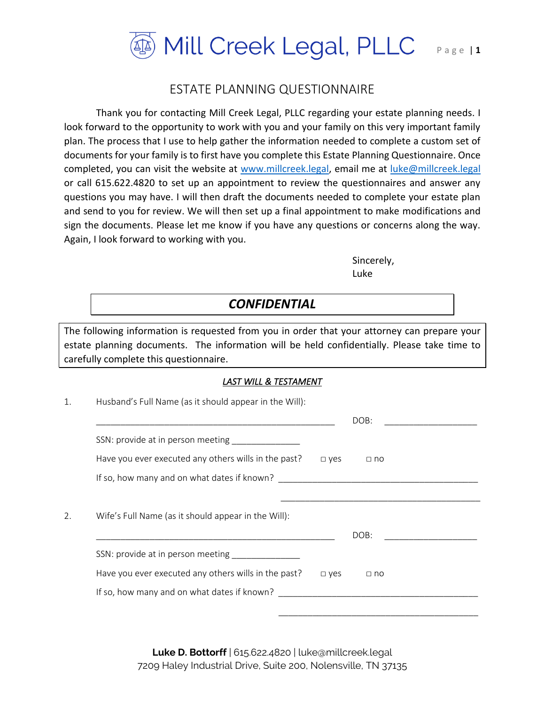

## ESTATE PLANNING QUESTIONNAIRE

Thank you for contacting Mill Creek Legal, PLLC regarding your estate planning needs. I look forward to the opportunity to work with you and your family on this very important family plan. The process that I use to help gather the information needed to complete a custom set of documents for your family is to first have you complete this Estate Planning Questionnaire. Once completed, you can visit the website at [www.millcreek.legal,](http://www.millcreek.legal/) email me at [luke@millcreek.legal](mailto:luke@millcreek.legal) or call 615.622.4820 to set up an appointment to review the questionnaires and answer any questions you may have. I will then draft the documents needed to complete your estate plan and send to you for review. We will then set up a final appointment to make modifications and sign the documents. Please let me know if you have any questions or concerns along the way. Again, I look forward to working with you.

> Sincerely, Luke

# *CONFIDENTIAL*

The following information is requested from you in order that your attorney can prepare your estate planning documents. The information will be held confidentially. Please take time to carefully complete this questionnaire.

## *LAST WILL & TESTAMENT*

| Husband's Full Name (as it should appear in the Will): |               |           |  |  |
|--------------------------------------------------------|---------------|-----------|--|--|
|                                                        |               | DOB:      |  |  |
| SSN: provide at in person meeting                      |               |           |  |  |
| Have you ever executed any others wills in the past?   | $\square$ yes | $\Box$ no |  |  |
|                                                        |               |           |  |  |
|                                                        |               |           |  |  |
|                                                        |               |           |  |  |
| Wife's Full Name (as it should appear in the Will):    |               |           |  |  |
|                                                        |               | DOB:      |  |  |
| SSN: provide at in person meeting                      |               |           |  |  |
| Have you ever executed any others wills in the past?   | $\square$ yes | $\Box$ no |  |  |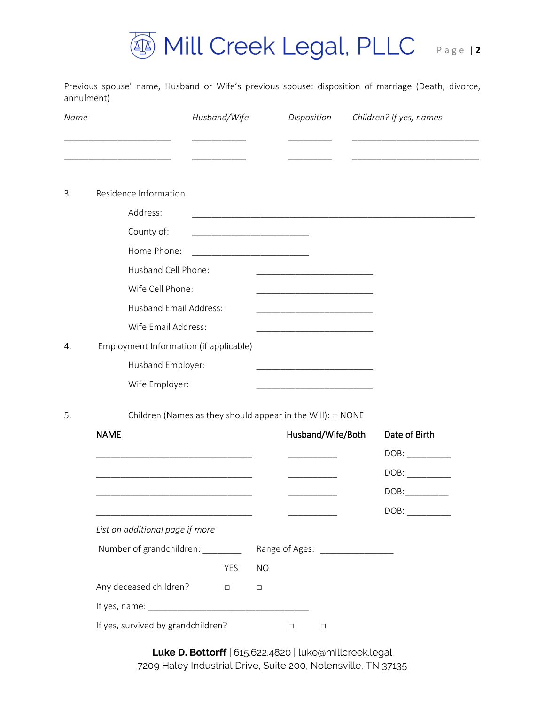

Previous spouse' name, Husband or Wife's previous spouse: disposition of marriage (Death, divorce, annulment)

| Name |                                                                 | Husband/Wife |                                                                                                                        | Disposition       | Children? If yes, names |
|------|-----------------------------------------------------------------|--------------|------------------------------------------------------------------------------------------------------------------------|-------------------|-------------------------|
|      |                                                                 |              |                                                                                                                        |                   |                         |
|      | Residence Information                                           |              |                                                                                                                        |                   |                         |
|      | Address:                                                        |              |                                                                                                                        |                   |                         |
|      | County of:                                                      |              | <u> 1990 - Johann John Stone, mars et al. (</u>                                                                        |                   |                         |
|      | Home Phone:                                                     |              | <u> 1989 - Johann Barbara, martxa alemani</u>                                                                          |                   |                         |
|      | Husband Cell Phone:                                             |              | <u> 1989 - Johann Harry Harry Harry Harry Harry Harry Harry Harry Harry Harry Harry Harry Harry Harry Harry Harry</u>  |                   |                         |
|      | Wife Cell Phone:                                                |              |                                                                                                                        |                   |                         |
|      | <b>Husband Email Address:</b>                                   |              |                                                                                                                        |                   |                         |
|      | Wife Email Address:                                             |              |                                                                                                                        |                   |                         |
|      | Employment Information (if applicable)                          |              |                                                                                                                        |                   |                         |
|      | Husband Employer:                                               |              | <u> 1990 - Johann John Harry Harry Harry Harry Harry Harry Harry Harry Harry Harry Harry Harry Harry Harry Harry H</u> |                   |                         |
|      | Wife Employer:                                                  |              |                                                                                                                        |                   |                         |
|      | Children (Names as they should appear in the Will): $\Box$ NONE |              |                                                                                                                        |                   |                         |
|      | <b>NAME</b>                                                     |              |                                                                                                                        | Husband/Wife/Both | Date of Birth           |
|      |                                                                 |              |                                                                                                                        |                   | DOB:                    |
|      |                                                                 |              |                                                                                                                        |                   | DOB:                    |
|      |                                                                 |              |                                                                                                                        |                   | DOB:                    |
|      |                                                                 |              |                                                                                                                        |                   |                         |
|      | List on additional page if more                                 |              |                                                                                                                        |                   |                         |
|      | Number of grandchildren: ________                               |              | Range of Ages: ________________                                                                                        |                   |                         |
|      |                                                                 | YES          | <b>NO</b>                                                                                                              |                   |                         |
|      | Any deceased children?                                          | $\Box$       | $\Box$                                                                                                                 |                   |                         |
|      |                                                                 |              |                                                                                                                        |                   |                         |
|      | If yes, survived by grandchildren?                              |              | $\Box$                                                                                                                 | $\Box$            |                         |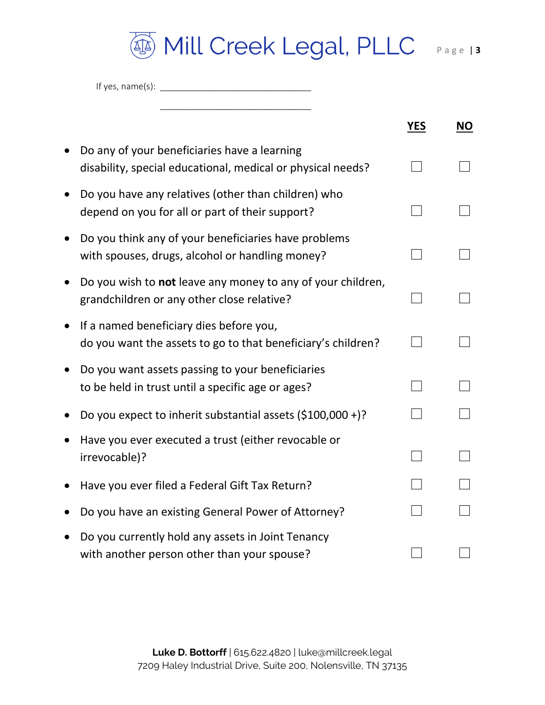

\_\_\_\_\_\_\_\_\_\_\_\_\_\_\_\_\_\_\_\_\_\_\_\_\_\_\_\_\_\_\_

|                                                                                                             | <b>YES</b> | <b>NO</b> |
|-------------------------------------------------------------------------------------------------------------|------------|-----------|
| Do any of your beneficiaries have a learning<br>disability, special educational, medical or physical needs? |            |           |
| Do you have any relatives (other than children) who<br>depend on you for all or part of their support?      |            |           |
| Do you think any of your beneficiaries have problems<br>with spouses, drugs, alcohol or handling money?     |            |           |
| Do you wish to not leave any money to any of your children,<br>grandchildren or any other close relative?   |            |           |
| If a named beneficiary dies before you,<br>do you want the assets to go to that beneficiary's children?     |            |           |
| Do you want assets passing to your beneficiaries<br>to be held in trust until a specific age or ages?       |            |           |
| Do you expect to inherit substantial assets $(5100,000+)$ ?                                                 |            |           |
| Have you ever executed a trust (either revocable or<br>irrevocable)?                                        |            |           |
| Have you ever filed a Federal Gift Tax Return?                                                              |            |           |
| Do you have an existing General Power of Attorney?                                                          |            |           |
| Do you currently hold any assets in Joint Tenancy<br>with another person other than your spouse?            |            |           |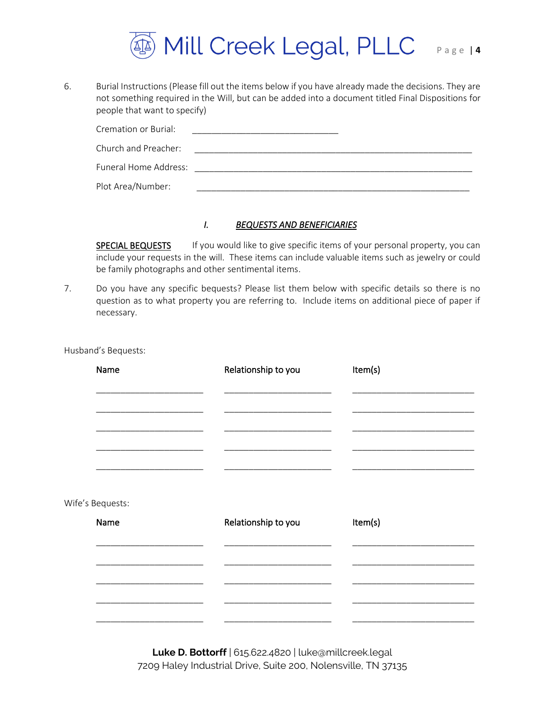

6. Burial Instructions (Please fill out the items below if you have already made the decisions. They are not something required in the Will, but can be added into a document titled Final Dispositions for people that want to specify)

| Cremation or Burial:  |  |
|-----------------------|--|
| Church and Preacher:  |  |
| Funeral Home Address: |  |
| Plot Area/Number:     |  |

## *I. BEQUESTS AND BENEFICIARIES*

SPECIAL BEQUESTS If you would like to give specific items of your personal property, you can include your requests in the will. These items can include valuable items such as jewelry or could be family photographs and other sentimental items.

7. Do you have any specific bequests? Please list them below with specific details so there is no question as to what property you are referring to. Include items on additional piece of paper if necessary.

Husband's Bequests:

| Name             | Relationship to you | Item(s) |  |
|------------------|---------------------|---------|--|
|                  |                     |         |  |
|                  |                     |         |  |
|                  |                     |         |  |
|                  |                     |         |  |
|                  |                     |         |  |
| Wife's Bequests: |                     |         |  |
| Name             | Relationship to you | Item(s) |  |
|                  |                     |         |  |
|                  |                     |         |  |
|                  |                     |         |  |
|                  |                     |         |  |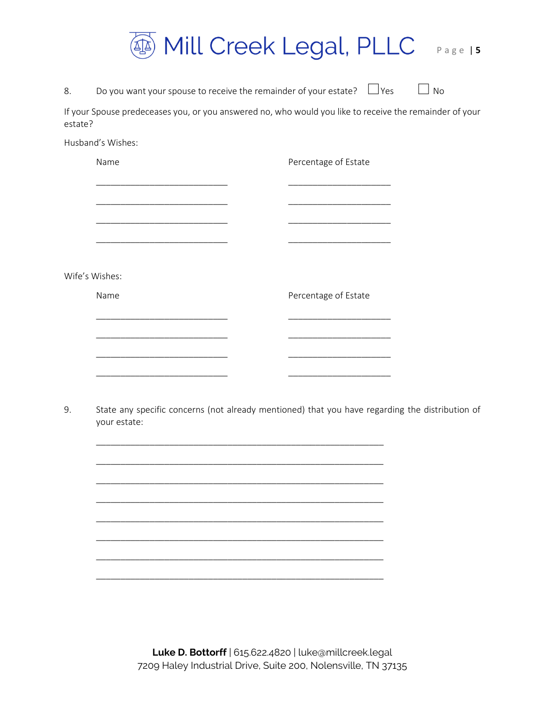

8. Do you want your spouse to receive the remainder of your estate?  $\Box$  Yes  $\Box$  No

If your Spouse predeceases you, or you answered no, who would you like to receive the remainder of your estate?

Husband's Wishes:

Name **Name** Percentage of Estate \_\_\_\_\_\_\_\_\_\_\_\_\_\_\_\_\_\_\_\_\_\_\_\_\_\_\_ \_\_\_\_\_\_\_\_\_\_\_\_\_\_\_\_\_\_\_\_\_ \_\_\_\_\_\_\_\_\_\_\_\_\_\_\_\_\_\_\_\_\_\_\_\_\_\_\_ \_\_\_\_\_\_\_\_\_\_\_\_\_\_\_\_\_\_\_\_\_ \_\_\_\_\_\_\_\_\_\_\_\_\_\_\_\_\_\_\_\_\_\_\_\_\_\_\_ \_\_\_\_\_\_\_\_\_\_\_\_\_\_\_\_\_\_\_\_\_ \_\_\_\_\_\_\_\_\_\_\_\_\_\_\_\_\_\_\_\_\_\_\_\_\_\_\_ \_\_\_\_\_\_\_\_\_\_\_\_\_\_\_\_\_\_\_\_\_ Wife's Wishes: Name **Name** Percentage of Estate \_\_\_\_\_\_\_\_\_\_\_\_\_\_\_\_\_\_\_\_\_\_\_\_\_\_\_ \_\_\_\_\_\_\_\_\_\_\_\_\_\_\_\_\_\_\_\_\_ \_\_\_\_\_\_\_\_\_\_\_\_\_\_\_\_\_\_\_\_\_\_\_\_\_\_\_ \_\_\_\_\_\_\_\_\_\_\_\_\_\_\_\_\_\_\_\_\_ \_\_\_\_\_\_\_\_\_\_\_\_\_\_\_\_\_\_\_\_\_\_\_\_\_\_\_ \_\_\_\_\_\_\_\_\_\_\_\_\_\_\_\_\_\_\_\_\_ \_\_\_\_\_\_\_\_\_\_\_\_\_\_\_\_\_\_\_\_\_\_\_\_\_\_\_ \_\_\_\_\_\_\_\_\_\_\_\_\_\_\_\_\_\_\_\_\_

\_\_\_\_\_\_\_\_\_\_\_\_\_\_\_\_\_\_\_\_\_\_\_\_\_\_\_\_\_\_\_\_\_\_\_\_\_\_\_\_\_\_\_\_\_\_\_\_\_\_\_\_\_\_\_\_\_\_\_

\_\_\_\_\_\_\_\_\_\_\_\_\_\_\_\_\_\_\_\_\_\_\_\_\_\_\_\_\_\_\_\_\_\_\_\_\_\_\_\_\_\_\_\_\_\_\_\_\_\_\_\_\_\_\_\_\_\_\_

\_\_\_\_\_\_\_\_\_\_\_\_\_\_\_\_\_\_\_\_\_\_\_\_\_\_\_\_\_\_\_\_\_\_\_\_\_\_\_\_\_\_\_\_\_\_\_\_\_\_\_\_\_\_\_\_\_\_\_

\_\_\_\_\_\_\_\_\_\_\_\_\_\_\_\_\_\_\_\_\_\_\_\_\_\_\_\_\_\_\_\_\_\_\_\_\_\_\_\_\_\_\_\_\_\_\_\_\_\_\_\_\_\_\_\_\_\_\_

\_\_\_\_\_\_\_\_\_\_\_\_\_\_\_\_\_\_\_\_\_\_\_\_\_\_\_\_\_\_\_\_\_\_\_\_\_\_\_\_\_\_\_\_\_\_\_\_\_\_\_\_\_\_\_\_\_\_\_

\_\_\_\_\_\_\_\_\_\_\_\_\_\_\_\_\_\_\_\_\_\_\_\_\_\_\_\_\_\_\_\_\_\_\_\_\_\_\_\_\_\_\_\_\_\_\_\_\_\_\_\_\_\_\_\_\_\_\_

\_\_\_\_\_\_\_\_\_\_\_\_\_\_\_\_\_\_\_\_\_\_\_\_\_\_\_\_\_\_\_\_\_\_\_\_\_\_\_\_\_\_\_\_\_\_\_\_\_\_\_\_\_\_\_\_\_\_\_

\_\_\_\_\_\_\_\_\_\_\_\_\_\_\_\_\_\_\_\_\_\_\_\_\_\_\_\_\_\_\_\_\_\_\_\_\_\_\_\_\_\_\_\_\_\_\_\_\_\_\_\_\_\_\_\_\_\_\_

9. State any specific concerns (not already mentioned) that you have regarding the distribution of your estate: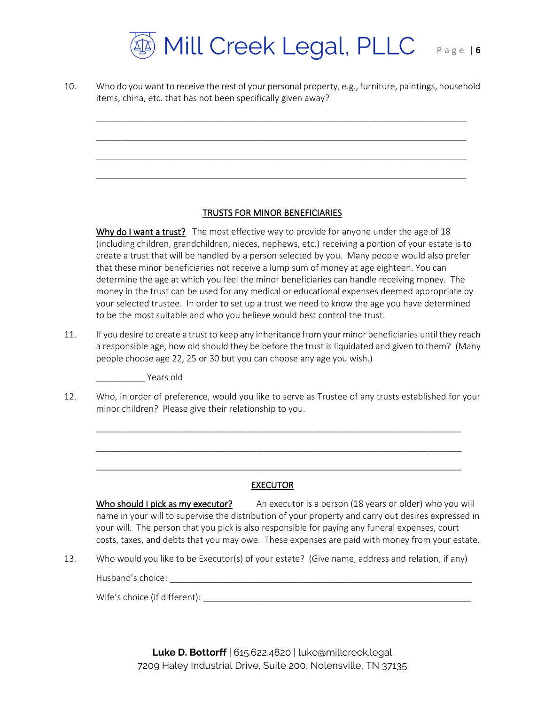

10. Who do you want to receive the rest of your personal property, e.g., furniture, paintings, household items, china, etc. that has not been specifically given away?

\_\_\_\_\_\_\_\_\_\_\_\_\_\_\_\_\_\_\_\_\_\_\_\_\_\_\_\_\_\_\_\_\_\_\_\_\_\_\_\_\_\_\_\_\_\_\_\_\_\_\_\_\_\_\_\_\_\_\_\_\_\_\_\_\_\_\_\_\_\_\_\_\_\_\_\_

\_\_\_\_\_\_\_\_\_\_\_\_\_\_\_\_\_\_\_\_\_\_\_\_\_\_\_\_\_\_\_\_\_\_\_\_\_\_\_\_\_\_\_\_\_\_\_\_\_\_\_\_\_\_\_\_\_\_\_\_\_\_\_\_\_\_\_\_\_\_\_\_\_\_\_\_

\_\_\_\_\_\_\_\_\_\_\_\_\_\_\_\_\_\_\_\_\_\_\_\_\_\_\_\_\_\_\_\_\_\_\_\_\_\_\_\_\_\_\_\_\_\_\_\_\_\_\_\_\_\_\_\_\_\_\_\_\_\_\_\_\_\_\_\_\_\_\_\_\_\_\_\_

\_\_\_\_\_\_\_\_\_\_\_\_\_\_\_\_\_\_\_\_\_\_\_\_\_\_\_\_\_\_\_\_\_\_\_\_\_\_\_\_\_\_\_\_\_\_\_\_\_\_\_\_\_\_\_\_\_\_\_\_\_\_\_\_\_\_\_\_\_\_\_\_\_\_\_\_

### TRUSTS FOR MINOR BENEFICIARIES

Why do I want a trust? The most effective way to provide for anyone under the age of 18 (including children, grandchildren, nieces, nephews, etc.) receiving a portion of your estate is to create a trust that will be handled by a person selected by you. Many people would also prefer that these minor beneficiaries not receive a lump sum of money at age eighteen. You can determine the age at which you feel the minor beneficiaries can handle receiving money. The money in the trust can be used for any medical or educational expenses deemed appropriate by your selected trustee. In order to set up a trust we need to know the age you have determined to be the most suitable and who you believe would best control the trust.

11. If you desire to create a trust to keep any inheritance from your minor beneficiaries until they reach a responsible age, how old should they be before the trust is liquidated and given to them? (Many people choose age 22, 25 or 30 but you can choose any age you wish.)

\_\_\_\_\_\_\_\_\_\_ Years old

12. Who, in order of preference, would you like to serve as Trustee of any trusts established for your minor children? Please give their relationship to you.

\_\_\_\_\_\_\_\_\_\_\_\_\_\_\_\_\_\_\_\_\_\_\_\_\_\_\_\_\_\_\_\_\_\_\_\_\_\_\_\_\_\_\_\_\_\_\_\_\_\_\_\_\_\_\_\_\_\_\_\_\_\_\_\_\_\_\_\_\_\_\_\_\_\_\_

\_\_\_\_\_\_\_\_\_\_\_\_\_\_\_\_\_\_\_\_\_\_\_\_\_\_\_\_\_\_\_\_\_\_\_\_\_\_\_\_\_\_\_\_\_\_\_\_\_\_\_\_\_\_\_\_\_\_\_\_\_\_\_\_\_\_\_\_\_\_\_\_\_\_\_

\_\_\_\_\_\_\_\_\_\_\_\_\_\_\_\_\_\_\_\_\_\_\_\_\_\_\_\_\_\_\_\_\_\_\_\_\_\_\_\_\_\_\_\_\_\_\_\_\_\_\_\_\_\_\_\_\_\_\_\_\_\_\_\_\_\_\_\_\_\_\_\_\_\_\_

### EXECUTOR

Who should I pick as my executor? An executor is a person (18 years or older) who you will name in your will to supervise the distribution of your property and carry out desires expressed in your will. The person that you pick is also responsible for paying any funeral expenses, court costs, taxes, and debts that you may owe. These expenses are paid with money from your estate.

13. Who would you like to be Executor(s) of your estate? (Give name, address and relation, if any)

Husband's choice: \_\_\_\_\_\_\_\_\_\_\_\_\_\_\_\_\_\_\_\_\_\_\_\_\_\_\_\_\_\_\_\_\_\_\_\_\_\_\_\_\_\_\_\_\_\_\_\_\_\_\_\_\_\_\_\_\_\_\_\_\_\_

Wife's choice (if different): \_\_\_\_\_\_\_\_\_\_\_\_\_\_\_\_\_\_\_\_\_\_\_\_\_\_\_\_\_\_\_\_\_\_\_\_\_\_\_\_\_\_\_\_\_\_\_\_\_\_\_\_\_\_\_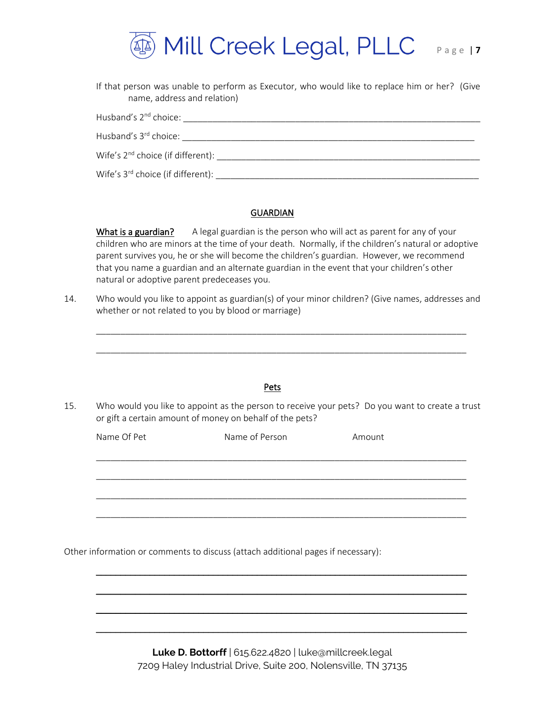

| If that person was unable to perform as Executor, who would like to replace him or her? (Give<br>name, address and relation) |  |
|------------------------------------------------------------------------------------------------------------------------------|--|
| Husband's 2 <sup>nd</sup> choice:                                                                                            |  |
| Husband's 3 <sup>rd</sup> choice:                                                                                            |  |
| Wife's 2 <sup>nd</sup> choice (if different):                                                                                |  |

Wife's 3rd choice (if different): \_\_\_\_\_\_\_\_\_\_\_\_\_\_\_\_\_\_\_\_\_\_\_\_\_\_\_\_\_\_\_\_\_\_\_\_\_\_\_\_\_\_\_\_\_\_\_\_\_\_\_\_\_\_

### **GUARDIAN**

What is a guardian? A legal guardian is the person who will act as parent for any of your children who are minors at the time of your death. Normally, if the children's natural or adoptive parent survives you, he or she will become the children's guardian. However, we recommend that you name a guardian and an alternate guardian in the event that your children's other natural or adoptive parent predeceases you.

14. Who would you like to appoint as guardian(s) of your minor children? (Give names, addresses and whether or not related to you by blood or marriage)

\_\_\_\_\_\_\_\_\_\_\_\_\_\_\_\_\_\_\_\_\_\_\_\_\_\_\_\_\_\_\_\_\_\_\_\_\_\_\_\_\_\_\_\_\_\_\_\_\_\_\_\_\_\_\_\_\_\_\_\_\_\_\_\_\_\_\_\_\_\_\_\_\_\_\_\_

|             | Who would you like to appoint as the person to receive your pets? Do you want to create a trust<br>or gift a certain amount of money on behalf of the pets? |        |
|-------------|-------------------------------------------------------------------------------------------------------------------------------------------------------------|--------|
| Name Of Pet | Name of Person                                                                                                                                              | Amount |
|             |                                                                                                                                                             |        |

Other information or comments to discuss (attach additional pages if necessary):

**Luke D. Bottorff** | 615.622.4820 | luke@millcreek.legal 7209 Haley Industrial Drive, Suite 200, Nolensville, TN 37135

\_\_\_\_\_\_\_\_\_\_\_\_\_\_\_\_\_\_\_\_\_\_\_\_\_\_\_\_\_\_\_\_\_\_\_\_\_\_\_\_\_\_\_\_\_\_\_\_\_\_\_\_\_\_\_\_\_\_\_\_\_\_\_\_\_\_\_\_\_\_\_\_\_\_\_\_

\_\_\_\_\_\_\_\_\_\_\_\_\_\_\_\_\_\_\_\_\_\_\_\_\_\_\_\_\_\_\_\_\_\_\_\_\_\_\_\_\_\_\_\_\_\_\_\_\_\_\_\_\_\_\_\_\_\_\_\_\_\_\_\_\_\_\_\_\_\_\_\_\_\_\_\_

 $\overline{\phantom{a}}$  , and the contribution of the contribution of the contribution of the contribution of the contribution of the contribution of the contribution of the contribution of the contribution of the contribution of the

\_\_\_\_\_\_\_\_\_\_\_\_\_\_\_\_\_\_\_\_\_\_\_\_\_\_\_\_\_\_\_\_\_\_\_\_\_\_\_\_\_\_\_\_\_\_\_\_\_\_\_\_\_\_\_\_\_\_\_\_\_\_\_\_\_\_\_\_\_\_\_\_\_\_\_\_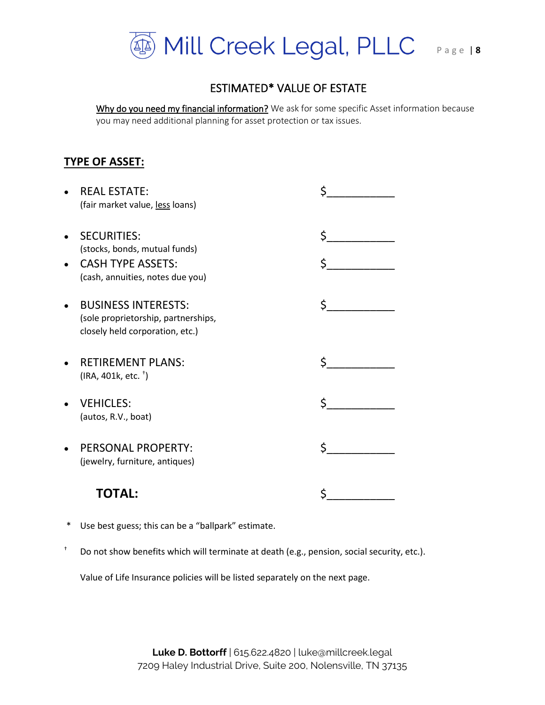

## ESTIMATED\* VALUE OF ESTATE

Why do you need my financial information? We ask for some specific Asset information because you may need additional planning for asset protection or tax issues.

## **TYPE OF ASSET:**

| <b>REAL ESTATE:</b><br>(fair market value, less loans)                                                              | Ś   |
|---------------------------------------------------------------------------------------------------------------------|-----|
| <b>SECURITIES:</b><br>(stocks, bonds, mutual funds)<br><b>CASH TYPE ASSETS:</b><br>(cash, annuities, notes due you) | \$. |
| <b>BUSINESS INTERESTS:</b><br>(sole proprietorship, partnerships,<br>closely held corporation, etc.)                | Ś   |
| <b>RETIREMENT PLANS:</b><br>$(IRA, 401k, etc.$ <sup>+</sup> )                                                       |     |
| <b>VEHICLES:</b><br>(autos, R.V., boat)                                                                             | Ś.  |
| PERSONAL PROPERTY:<br>(jewelry, furniture, antiques)                                                                |     |
| ΤΟΤΔΙ ·                                                                                                             |     |

- \* Use best guess; this can be a "ballpark" estimate.
- † Do not show benefits which will terminate at death (e.g., pension, social security, etc.).

Value of Life Insurance policies will be listed separately on the next page.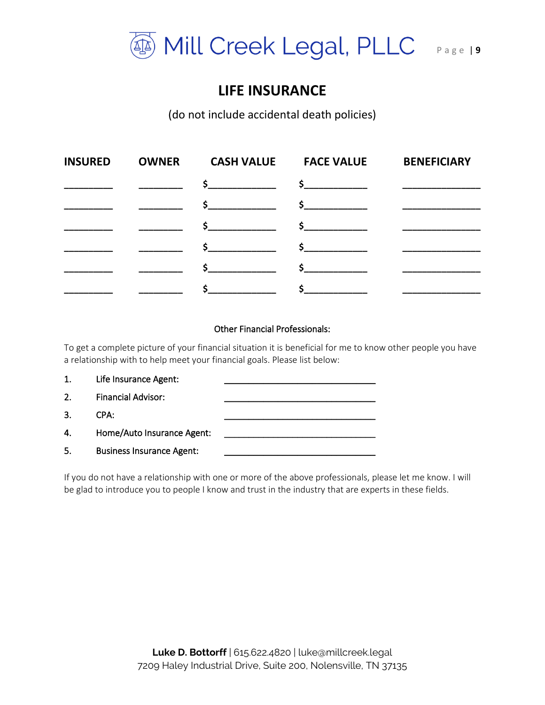

# **LIFE INSURANCE**

(do not include accidental death policies)

| <b>INSURED</b> | <b>OWNER</b> | <b>CASH VALUE</b> | <b>FACE VALUE</b> | <b>BENEFICIARY</b>                      |
|----------------|--------------|-------------------|-------------------|-----------------------------------------|
|                |              | $\frac{1}{2}$     | $\frac{1}{2}$     |                                         |
|                |              |                   | $\frac{1}{2}$     | <u> Liston de la contrata de la con</u> |
|                |              | $\mathsf{s}$      |                   |                                         |
|                |              | $\sim$            | $\mathsf{\$}$     |                                         |
|                |              | $\mathsf{\$}$     | $\sim$            |                                         |
|                |              |                   | $\frac{1}{2}$     |                                         |

## Other Financial Professionals:

To get a complete picture of your financial situation it is beneficial for me to know other people you have a relationship with to help meet your financial goals. Please list below:



If you do not have a relationship with one or more of the above professionals, please let me know. I will be glad to introduce you to people I know and trust in the industry that are experts in these fields.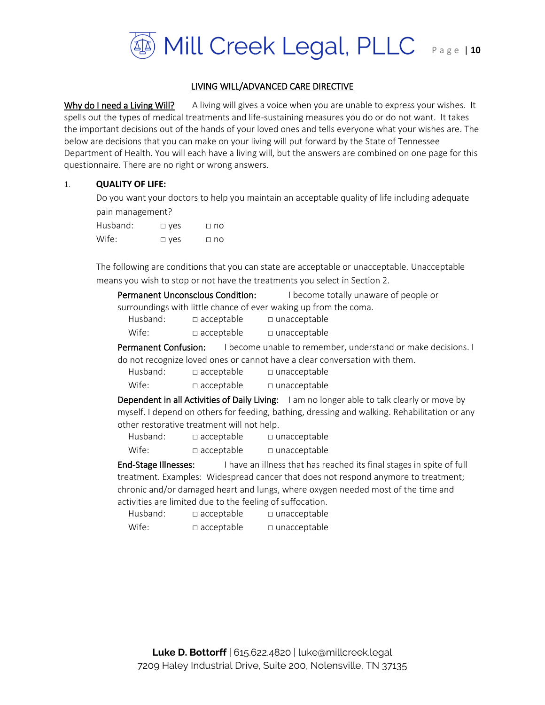

## LIVING WILL/ADVANCED CARE DIRECTIVE

Why do I need a Living Will? A living will gives a voice when you are unable to express your wishes. It spells out the types of medical treatments and life-sustaining measures you do or do not want. It takes the important decisions out of the hands of your loved ones and tells everyone what your wishes are. The below are decisions that you can make on your living will put forward by the State of Tennessee Department of Health. You will each have a living will, but the answers are combined on one page for this questionnaire. There are no right or wrong answers.

#### 1. **QUALITY OF LIFE:**

Do you want your doctors to help you maintain an acceptable quality of life including adequate pain management?

| Husband: | $\Box$ yes | $\Box$ no |
|----------|------------|-----------|
| Wife:    | $\Box$ yes | $\Box$ no |

The following are conditions that you can state are acceptable or unacceptable. Unacceptable means you wish to stop or not have the treatments you select in Section 2.

| <b>Permanent Unconscious Condition:</b> |                   | I become totally unaware of people or                            |
|-----------------------------------------|-------------------|------------------------------------------------------------------|
|                                         |                   | surroundings with little chance of ever waking up from the coma. |
| Husband:                                | $\Box$ acceptable | $\Box$ unacceptable                                              |
| Wife:                                   | $\Box$ acceptable | $\Box$ unacceptable                                              |

Permanent Confusion: I become unable to remember, understand or make decisions. I do not recognize loved ones or cannot have a clear conversation with them.

| Husband: | $\Box$ acceptable | □ unacceptable |
|----------|-------------------|----------------|
|----------|-------------------|----------------|

Wife: □ acceptable □ unacceptable

Dependent in all Activities of Daily Living: I am no longer able to talk clearly or move by myself. I depend on others for feeding, bathing, dressing and walking. Rehabilitation or any other restorative treatment will not help.

| Husband: | $\Box$ acceptable | $\square$ unacceptable |
|----------|-------------------|------------------------|
| Wife:    | $\Box$ acceptable | $\square$ unacceptable |

**End-Stage Illnesses:** I have an illness that has reached its final stages in spite of full treatment. Examples: Widespread cancer that does not respond anymore to treatment; chronic and/or damaged heart and lungs, where oxygen needed most of the time and activities are limited due to the feeling of suffocation.

| Husband: | $\Box$ acceptable | □ unacceptable |
|----------|-------------------|----------------|
| Wife:    | $\Box$ acceptable | □ unacceptable |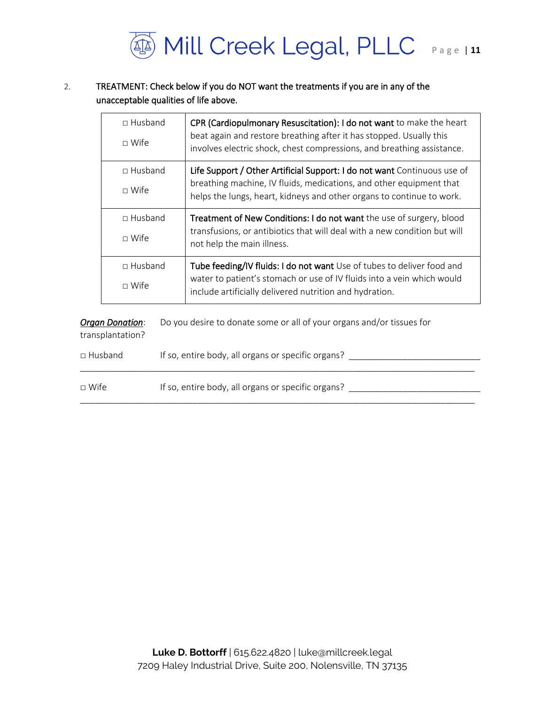

## 2. TREATMENT: Check below if you do NOT want the treatments if you are in any of the unacceptable qualities of life above.

|  | $\Box$ Husband<br>$\sqcap$ Wife                                      |  | CPR (Cardiopulmonary Resuscitation): I do not want to make the heart<br>beat again and restore breathing after it has stopped. Usually this<br>involves electric shock, chest compressions, and breathing assistance.    |  |
|--|----------------------------------------------------------------------|--|--------------------------------------------------------------------------------------------------------------------------------------------------------------------------------------------------------------------------|--|
|  | $\Box$ Husband<br>$\sqcap$ Wife                                      |  | Life Support / Other Artificial Support: I do not want Continuous use of<br>breathing machine, IV fluids, medications, and other equipment that<br>helps the lungs, heart, kidneys and other organs to continue to work. |  |
|  | □ Husband<br>$\Box$ Wife<br>$\Box$ Husband<br>$\Box$ Wife            |  | Treatment of New Conditions: I do not want the use of surgery, blood<br>transfusions, or antibiotics that will deal with a new condition but will<br>not help the main illness.                                          |  |
|  |                                                                      |  | Tube feeding/IV fluids: I do not want Use of tubes to deliver food and<br>water to patient's stomach or use of IV fluids into a vein which would<br>include artificially delivered nutrition and hydration.              |  |
|  | <b>Organ Donation:</b><br>transplantation?                           |  | Do you desire to donate some or all of your organs and/or tissues for                                                                                                                                                    |  |
|  | If so, entire body, all organs or specific organs?<br>$\Box$ Husband |  |                                                                                                                                                                                                                          |  |

| $\sqcap$ Wife | If so, entire body, all organs or specific organs? |
|---------------|----------------------------------------------------|
|               |                                                    |

\_\_\_\_\_\_\_\_\_\_\_\_\_\_\_\_\_\_\_\_\_\_\_\_\_\_\_\_\_\_\_\_\_\_\_\_\_\_\_\_\_\_\_\_\_\_\_\_\_\_\_\_\_\_\_\_\_\_\_\_\_\_\_\_\_\_\_\_\_\_\_\_\_\_\_\_\_\_\_\_\_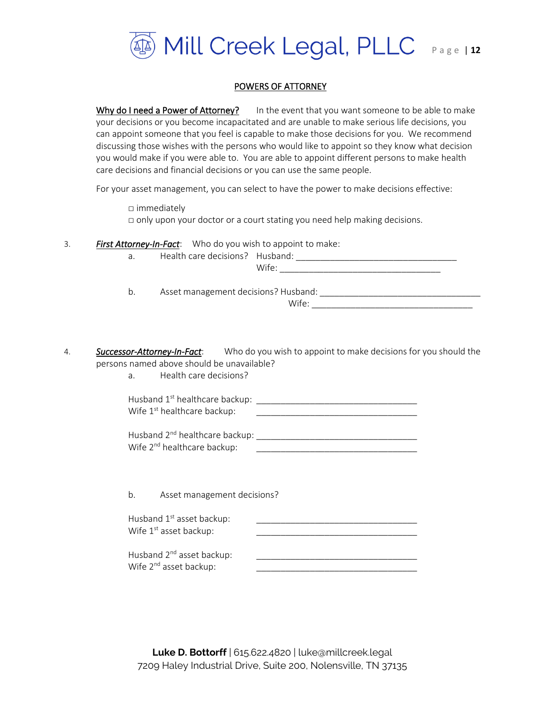

### POWERS OF ATTORNEY

Why do I need a Power of Attorney? In the event that you want someone to be able to make your decisions or you become incapacitated and are unable to make serious life decisions, you can appoint someone that you feel is capable to make those decisions for you. We recommend discussing those wishes with the persons who would like to appoint so they know what decision you would make if you were able to. You are able to appoint different persons to make health care decisions and financial decisions or you can use the same people.

For your asset management, you can select to have the power to make decisions effective:

□ immediately □ only upon your doctor or a court stating you need help making decisions.

3. *First Attorney-In-Fact*: Who do you wish to appoint to make:

a. Health care decisions? Husband:

| $\ddot{\phantom{1}}$<br>v<br>. .<br>--<br>. . |  |  |  |
|-----------------------------------------------|--|--|--|
|                                               |  |  |  |

 $Wife:$ 

b. Asset management decisions? Husband: \_\_\_\_\_\_\_\_\_\_\_\_\_\_\_\_\_\_\_\_\_\_\_\_\_\_\_\_\_\_\_\_\_

4. *Successor-Attorney-In-Fact*: Who do you wish to appoint to make decisions for you should the persons named above should be unavailable?

a. Health care decisions?

Husband 1 st healthcare backup: \_\_\_\_\_\_\_\_\_\_\_\_\_\_\_\_\_\_\_\_\_\_\_\_\_\_\_\_\_\_\_\_\_ Wife 1 st healthcare backup: \_\_\_\_\_\_\_\_\_\_\_\_\_\_\_\_\_\_\_\_\_\_\_\_\_\_\_\_\_\_\_\_\_

Husband 2nd healthcare backup: \_\_\_\_\_\_\_\_\_\_\_\_\_\_\_\_\_\_\_\_\_\_\_\_\_\_\_\_\_\_\_\_\_ Wife 2<sup>nd</sup> healthcare backup:

b. Asset management decisions?

| Husband 1 <sup>st</sup> asset backup: |  |
|---------------------------------------|--|
| Wife 1 <sup>st</sup> asset backup:    |  |
|                                       |  |

Husband 2<sup>nd</sup> asset backup: Wife 2<sup>nd</sup> asset backup: